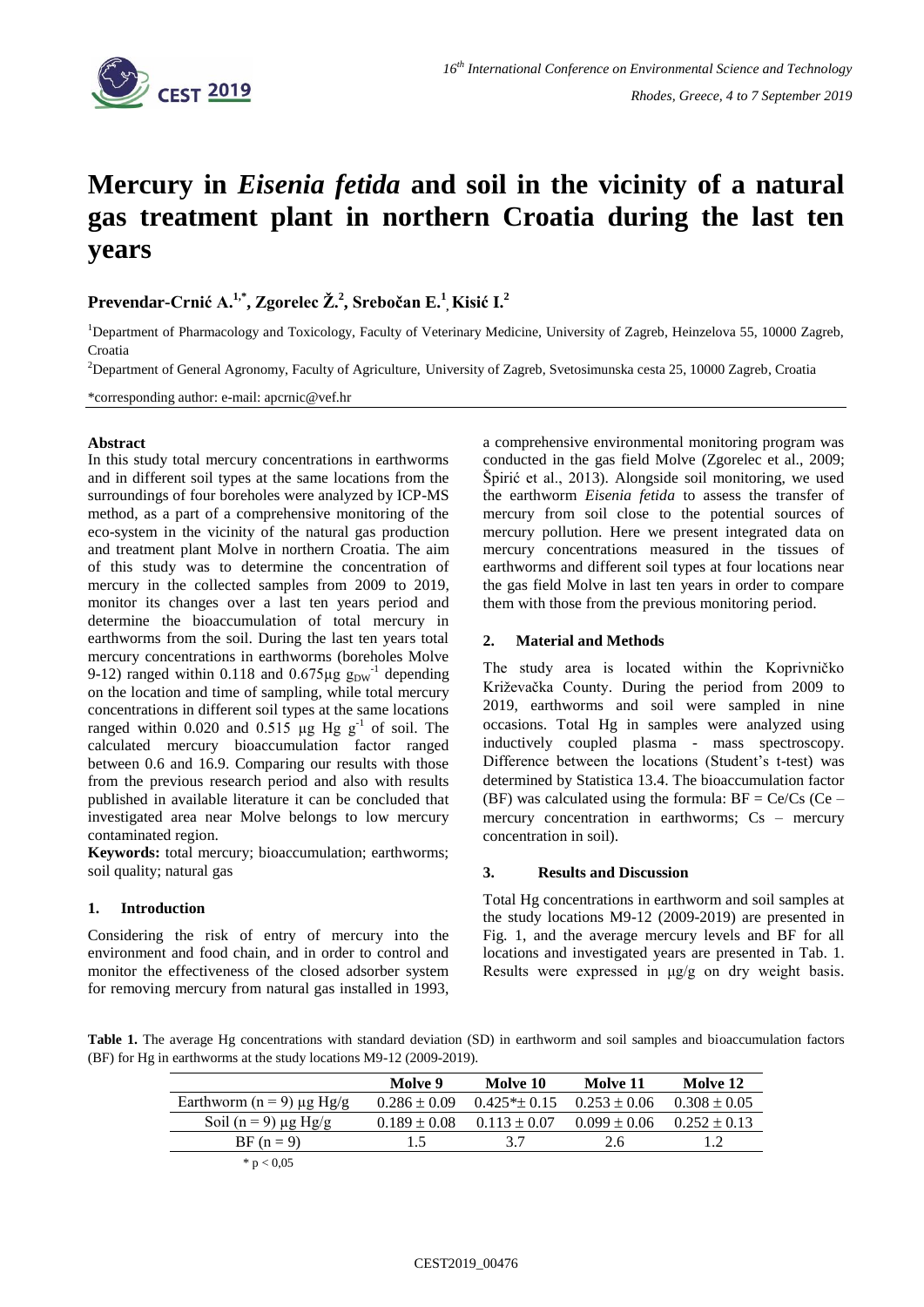

# **Mercury in** *Eisenia fetida* **and soil in the vicinity of a natural gas treatment plant in northern Croatia during the last ten years**

**Prevendar-Crnić A.1,\* , Zgorelec Ž. 2 , Srebočan E. 1 , Kisić I. 2**

<sup>1</sup>Department of Pharmacology and Toxicology, Faculty of Veterinary Medicine, University of Zagreb, Heinzelova 55, 10000 Zagreb, Croatia

<sup>2</sup>Department of General Agronomy, Faculty of Agriculture, University of Zagreb, Svetosimunska cesta 25, 10000 Zagreb, Croatia

\*corresponding author: e-mail: apcrnic@vef.hr

#### **Abstract**

In this study total mercury concentrations in earthworms and in different soil types at the same locations from the surroundings of four boreholes were analyzed by ICP-MS method, as a part of a comprehensive monitoring of the eco-system in the vicinity of the natural gas production and treatment plant Molve in northern Croatia. The aim of this study was to determine the concentration of mercury in the collected samples from 2009 to 2019, monitor its changes over a last ten years period and determine the bioaccumulation of total mercury in earthworms from the soil. During the last ten years total mercury concentrations in earthworms (boreholes Molve 9-12) ranged within 0.118 and  $0.675\mu g g_{DW}$ <sup>-1</sup> depending on the location and time of sampling, while total mercury concentrations in different soil types at the same locations ranged within 0.020 and 0.515  $\mu$ g Hg g<sup>-1</sup> of soil. The calculated mercury bioaccumulation factor ranged between 0.6 and 16.9. Comparing our results with those from the previous research period and also with results published in available literature it can be concluded that investigated area near Molve belongs to low mercury contaminated region.

**Keywords:** total mercury; bioaccumulation; earthworms; soil quality; natural gas

## **1. Introduction**

Considering the risk of entry of mercury into the environment and food chain, and in order to control and monitor the effectiveness of the closed adsorber system for removing mercury from natural gas installed in 1993,

a comprehensive environmental monitoring program was conducted in the gas field Molve (Zgorelec et al., 2009; Špirić et al., 2013). Alongside soil monitoring, we used the earthworm *Eisenia fetida* to assess the transfer of mercury from soil close to the potential sources of mercury pollution. Here we present integrated data on mercury concentrations measured in the tissues of earthworms and different soil types at four locations near the gas field Molve in last ten years in order to compare them with those from the previous monitoring period.

## **2. Material and Methods**

The study area is located within the Koprivničko Križevačka County. During the period from 2009 to 2019, earthworms and soil were sampled in nine occasions. Total Hg in samples were analyzed using inductively coupled plasma - mass spectroscopy. Difference between the locations (Student's t-test) was determined by Statistica 13.4. The bioaccumulation factor (BF) was calculated using the formula:  $BF = Ce/Cs$  (Ce – mercury concentration in earthworms;  $Cs$  – mercury concentration in soil).

### **3. Results and Discussion**

Total Hg concentrations in earthworm and soil samples at the study locations M9-12 (2009-2019) are presented in Fig. 1, and the average mercury levels and BF for all locations and investigated years are presented in Tab. 1. Results were expressed in μg/g on dry weight basis.

**Table 1.** The average Hg concentrations with standard deviation (SD) in earthworm and soil samples and bioaccumulation factors (BF) for Hg in earthworms at the study locations M9-12 (2009-2019).

|                                    | Molve 9          | Molve 10          | Molve 11         | Molve 12         |
|------------------------------------|------------------|-------------------|------------------|------------------|
| Earthworm ( $n = 9$ ) $\mu$ g Hg/g | $0.286 \pm 0.09$ | $0.425* \pm 0.15$ | $0.253 \pm 0.06$ | $0.308 \pm 0.05$ |
| Soil (n = 9) $\mu$ g Hg/g          | $0.189 \pm 0.08$ | $0.113 \pm 0.07$  | $0.099 \pm 0.06$ | $0.252 + 0.13$   |
| $BF (n = 9)$                       | 15               | 37                | 2.6              | 12               |
| * $p < 0.05$                       |                  |                   |                  |                  |